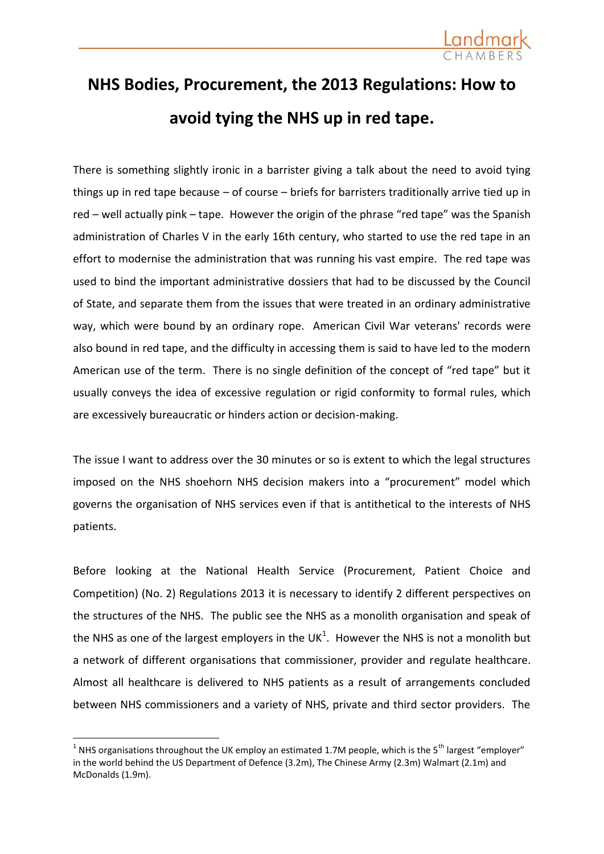

## **NHS Bodies, Procurement, the 2013 Regulations: How to avoid tying the NHS up in red tape.**

There is something slightly ironic in a barrister giving a talk about the need to avoid tying things up in red tape because – of course – briefs for barristers traditionally arrive tied up in red – well actually pink – tape. However the origin of the phrase "red tape" was the Spanish administration of Charles V in the early 16th century, who started to use the red tape in an effort to modernise the administration that was running his vast empire. The red tape was used to bind the important administrative dossiers that had to be discussed by the Council of State, and separate them from the issues that were treated in an ordinary administrative way, which were bound by an ordinary rope. American Civil War veterans' records were also bound in red tape, and the difficulty in accessing them is said to have led to the modern American use of the term. There is no single definition of the concept of "red tape" but it usually conveys the idea of excessive regulation or rigid conformity to formal rules, which are excessively bureaucratic or hinders action or decision-making.

The issue I want to address over the 30 minutes or so is extent to which the legal structures imposed on the NHS shoehorn NHS decision makers into a "procurement" model which governs the organisation of NHS services even if that is antithetical to the interests of NHS patients.

Before looking at the National Health Service (Procurement, Patient Choice and Competition) (No. 2) Regulations 2013 it is necessary to identify 2 different perspectives on the structures of the NHS. The public see the NHS as a monolith organisation and speak of the NHS as one of the largest employers in the UK<sup>1</sup>. However the NHS is not a monolith but a network of different organisations that commissioner, provider and regulate healthcare. Almost all healthcare is delivered to NHS patients as a result of arrangements concluded between NHS commissioners and a variety of NHS, private and third sector providers. The

1

<sup>&</sup>lt;sup>1</sup> NHS organisations throughout the UK employ an estimated 1.7M people, which is the 5<sup>th</sup> largest "employer" in the world behind the US Department of Defence (3.2m), The Chinese Army (2.3m) Walmart (2.1m) and McDonalds (1.9m).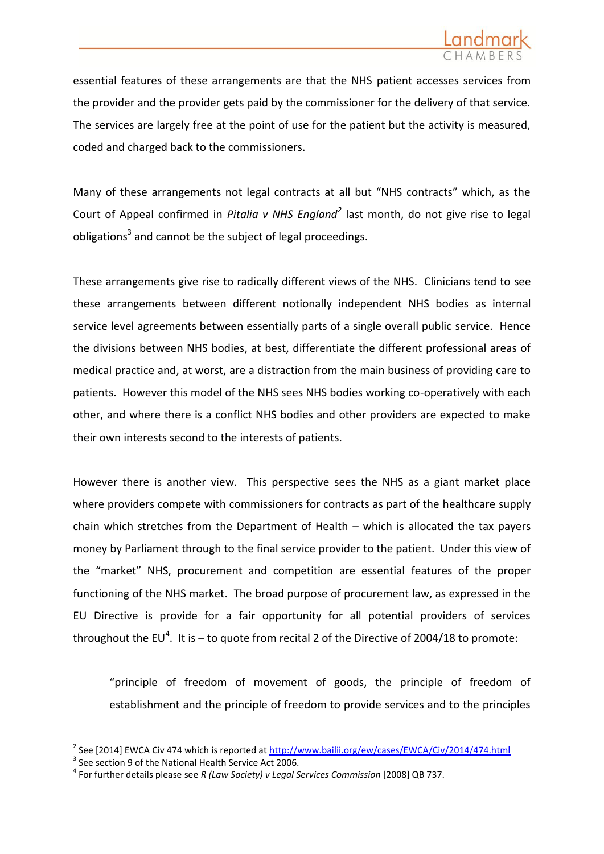

essential features of these arrangements are that the NHS patient accesses services from the provider and the provider gets paid by the commissioner for the delivery of that service. The services are largely free at the point of use for the patient but the activity is measured, coded and charged back to the commissioners.

Many of these arrangements not legal contracts at all but "NHS contracts" which, as the Court of Appeal confirmed in *Pitalia v NHS England<sup>2</sup>* last month, do not give rise to legal obligations<sup>3</sup> and cannot be the subject of legal proceedings.

These arrangements give rise to radically different views of the NHS. Clinicians tend to see these arrangements between different notionally independent NHS bodies as internal service level agreements between essentially parts of a single overall public service. Hence the divisions between NHS bodies, at best, differentiate the different professional areas of medical practice and, at worst, are a distraction from the main business of providing care to patients. However this model of the NHS sees NHS bodies working co-operatively with each other, and where there is a conflict NHS bodies and other providers are expected to make their own interests second to the interests of patients.

However there is another view. This perspective sees the NHS as a giant market place where providers compete with commissioners for contracts as part of the healthcare supply chain which stretches from the Department of Health – which is allocated the tax payers money by Parliament through to the final service provider to the patient. Under this view of the "market" NHS, procurement and competition are essential features of the proper functioning of the NHS market. The broad purpose of procurement law, as expressed in the EU Directive is provide for a fair opportunity for all potential providers of services throughout the EU<sup>4</sup>. It is – to quote from recital 2 of the Directive of 2004/18 to promote:

"principle of freedom of movement of goods, the principle of freedom of establishment and the principle of freedom to provide services and to the principles

1

<sup>2</sup> See [2014] EWCA Civ 474 which is reported a[t http://www.bailii.org/ew/cases/EWCA/Civ/2014/474.html](http://www.bailii.org/ew/cases/EWCA/Civ/2014/474.html)

 $3$  See section 9 of the National Health Service Act 2006.

<sup>4</sup> For further details please see *R (Law Society) v Legal Services Commission* [2008] QB 737.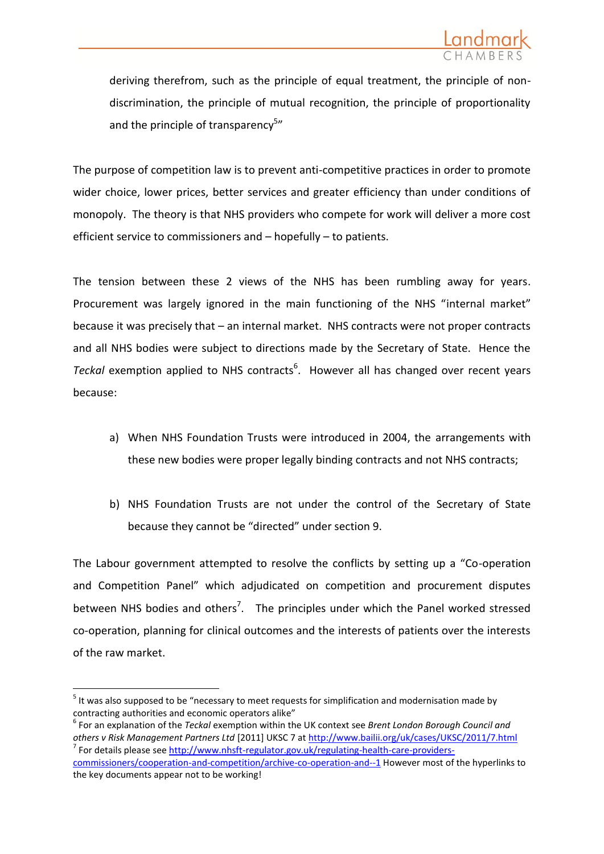deriving therefrom, such as the principle of equal treatment, the principle of nondiscrimination, the principle of mutual recognition, the principle of proportionality and the principle of transparency<sup>5</sup>"

The purpose of competition law is to prevent anti-competitive practices in order to promote wider choice, lower prices, better services and greater efficiency than under conditions of monopoly. The theory is that NHS providers who compete for work will deliver a more cost efficient service to commissioners and – hopefully – to patients.

The tension between these 2 views of the NHS has been rumbling away for years. Procurement was largely ignored in the main functioning of the NHS "internal market" because it was precisely that – an internal market. NHS contracts were not proper contracts and all NHS bodies were subject to directions made by the Secretary of State. Hence the Teckal exemption applied to NHS contracts<sup>6</sup>. However all has changed over recent years because:

- a) When NHS Foundation Trusts were introduced in 2004, the arrangements with these new bodies were proper legally binding contracts and not NHS contracts;
- b) NHS Foundation Trusts are not under the control of the Secretary of State because they cannot be "directed" under section 9.

The Labour government attempted to resolve the conflicts by setting up a "Co-operation and Competition Panel" which adjudicated on competition and procurement disputes between NHS bodies and others<sup>7</sup>. The principles under which the Panel worked stressed co-operation, planning for clinical outcomes and the interests of patients over the interests of the raw market.

 $<sup>5</sup>$  It was also supposed to be "necessary to meet requests for simplification and modernisation made by</sup> contracting authorities and economic operators alike"

<sup>6</sup> For an explanation of the *Teckal* exemption within the UK context see *Brent London Borough Council and others v Risk Management Partners Ltd* [2011] UKSC 7 at<http://www.bailii.org/uk/cases/UKSC/2011/7.html> <sup>7</sup> For details please see [http://www.nhsft-regulator.gov.uk/regulating-health-care-providers-](http://www.nhsft-regulator.gov.uk/regulating-health-care-providers-commissioners/cooperation-and-competition/archive-co-operation-and--1)

[commissioners/cooperation-and-competition/archive-co-operation-and--1](http://www.nhsft-regulator.gov.uk/regulating-health-care-providers-commissioners/cooperation-and-competition/archive-co-operation-and--1) However most of the hyperlinks to the key documents appear not to be working!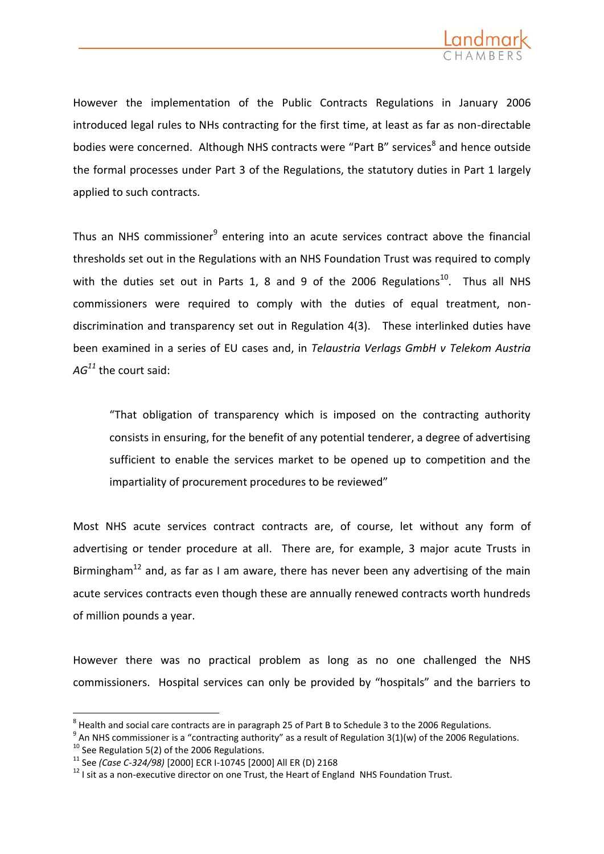

However the implementation of the Public Contracts Regulations in January 2006 introduced legal rules to NHs contracting for the first time, at least as far as non-directable bodies were concerned. Although NHS contracts were "Part B" services<sup>8</sup> and hence outside the formal processes under Part 3 of the Regulations, the statutory duties in Part 1 largely applied to such contracts.

Thus an NHS commissioner<sup>9</sup> entering into an acute services contract above the financial thresholds set out in the Regulations with an NHS Foundation Trust was required to comply with the duties set out in Parts 1, 8 and 9 of the 2006 Regulations<sup>10</sup>. Thus all NHS commissioners were required to comply with the duties of equal treatment, nondiscrimination and transparency set out in Regulation 4(3). These interlinked duties have been examined in a series of EU cases and, in *Telaustria Verlags GmbH v Telekom Austria AG<sup>11</sup>* the court said:

"That obligation of transparency which is imposed on the contracting authority consists in ensuring, for the benefit of any potential tenderer, a degree of advertising sufficient to enable the services market to be opened up to competition and the impartiality of procurement procedures to be reviewed"

Most NHS acute services contract contracts are, of course, let without any form of advertising or tender procedure at all. There are, for example, 3 major acute Trusts in Birmingham<sup>12</sup> and, as far as I am aware, there has never been any advertising of the main acute services contracts even though these are annually renewed contracts worth hundreds of million pounds a year.

However there was no practical problem as long as no one challenged the NHS commissioners. Hospital services can only be provided by "hospitals" and the barriers to

 $^8$  Health and social care contracts are in paragraph 25 of Part B to Schedule 3 to the 2006 Regulations.

 $^9$  An NHS commissioner is a "contracting authority" as a result of Regulation 3(1)(w) of the 2006 Regulations.

 $10$  See Regulation 5(2) of the 2006 Regulations.

<sup>11</sup> See *(Case C-324/98)* [2000] ECR I-10745 [2000] All ER (D) 2168

 $12$  I sit as a non-executive director on one Trust, the Heart of England NHS Foundation Trust.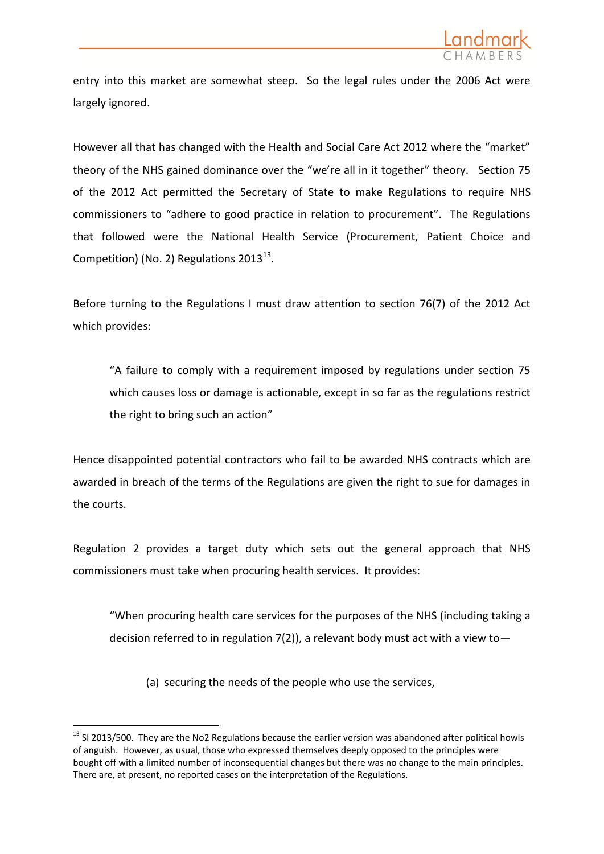

entry into this market are somewhat steep. So the legal rules under the 2006 Act were largely ignored.

However all that has changed with the Health and Social Care Act 2012 where the "market" theory of the NHS gained dominance over the "we're all in it together" theory. Section 75 of the 2012 Act permitted the Secretary of State to make Regulations to require NHS commissioners to "adhere to good practice in relation to procurement". The Regulations that followed were the National Health Service (Procurement, Patient Choice and Competition) (No. 2) Regulations  $2013^{13}$ .

Before turning to the Regulations I must draw attention to section 76(7) of the 2012 Act which provides:

"A failure to comply with a requirement imposed by regulations under section 75 which causes loss or damage is actionable, except in so far as the regulations restrict the right to bring such an action"

Hence disappointed potential contractors who fail to be awarded NHS contracts which are awarded in breach of the terms of the Regulations are given the right to sue for damages in the courts.

Regulation 2 provides a target duty which sets out the general approach that NHS commissioners must take when procuring health services. It provides:

"When procuring health care services for the purposes of the NHS (including taking a decision referred to in regulation  $7(2)$ ), a relevant body must act with a view to-

(a) securing the needs of the people who use the services,

<sup>&</sup>lt;sup>13</sup> SI 2013/500. They are the No2 Regulations because the earlier version was abandoned after political howls of anguish. However, as usual, those who expressed themselves deeply opposed to the principles were bought off with a limited number of inconsequential changes but there was no change to the main principles. There are, at present, no reported cases on the interpretation of the Regulations.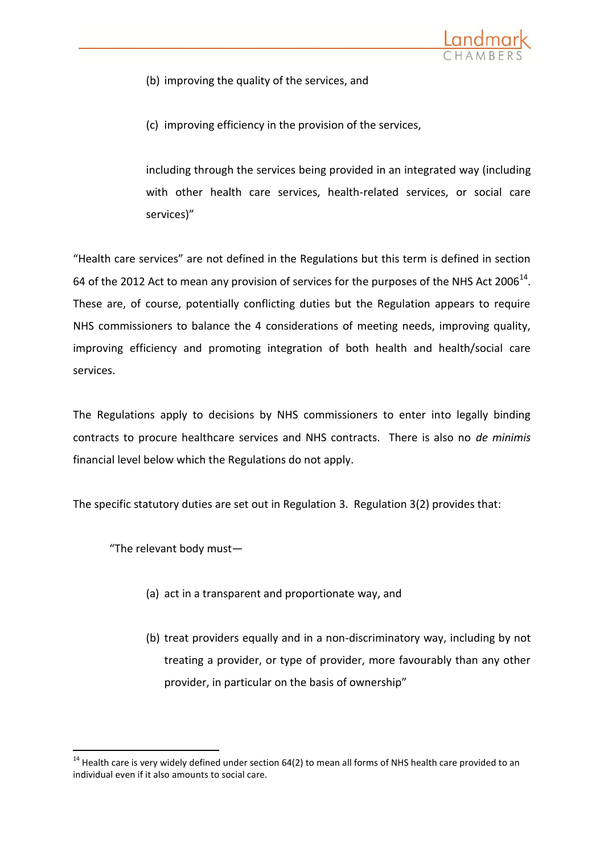

- (b) improving the quality of the services, and
- (c) improving efficiency in the provision of the services,

including through the services being provided in an integrated way (including with other health care services, health-related services, or social care services)"

"Health care services" are not defined in the Regulations but this term is defined in section 64 of the 2012 Act to mean any provision of services for the purposes of the NHS Act 2006<sup>14</sup>. These are, of course, potentially conflicting duties but the Regulation appears to require NHS commissioners to balance the 4 considerations of meeting needs, improving quality, improving efficiency and promoting integration of both health and health/social care services.

The Regulations apply to decisions by NHS commissioners to enter into legally binding contracts to procure healthcare services and NHS contracts. There is also no *de minimis* financial level below which the Regulations do not apply.

The specific statutory duties are set out in Regulation 3. Regulation 3(2) provides that:

"The relevant body must—

- (a) act in a transparent and proportionate way, and
- (b) treat providers equally and in a non-discriminatory way, including by not treating a provider, or type of provider, more favourably than any other provider, in particular on the basis of ownership"

 $14$  Health care is very widely defined under section 64(2) to mean all forms of NHS health care provided to an individual even if it also amounts to social care.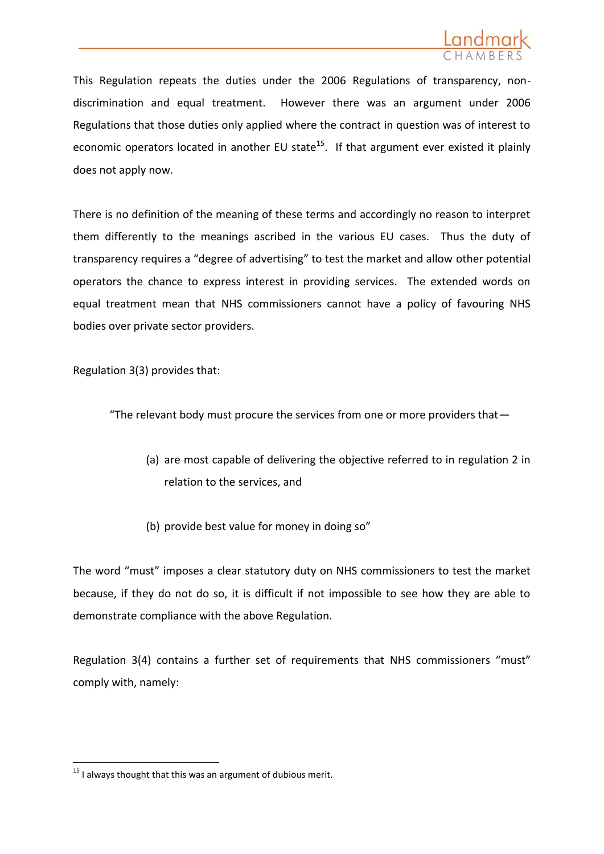

This Regulation repeats the duties under the 2006 Regulations of transparency, nondiscrimination and equal treatment. However there was an argument under 2006 Regulations that those duties only applied where the contract in question was of interest to economic operators located in another EU state<sup>15</sup>. If that argument ever existed it plainly does not apply now.

There is no definition of the meaning of these terms and accordingly no reason to interpret them differently to the meanings ascribed in the various EU cases. Thus the duty of transparency requires a "degree of advertising" to test the market and allow other potential operators the chance to express interest in providing services. The extended words on equal treatment mean that NHS commissioners cannot have a policy of favouring NHS bodies over private sector providers.

Regulation 3(3) provides that:

"The relevant body must procure the services from one or more providers that—

- (a) are most capable of delivering the objective referred to in regulation 2 in relation to the services, and
- (b) provide best value for money in doing so"

The word "must" imposes a clear statutory duty on NHS commissioners to test the market because, if they do not do so, it is difficult if not impossible to see how they are able to demonstrate compliance with the above Regulation.

Regulation 3(4) contains a further set of requirements that NHS commissioners "must" comply with, namely:

<sup>1</sup>  $15$  I always thought that this was an argument of dubious merit.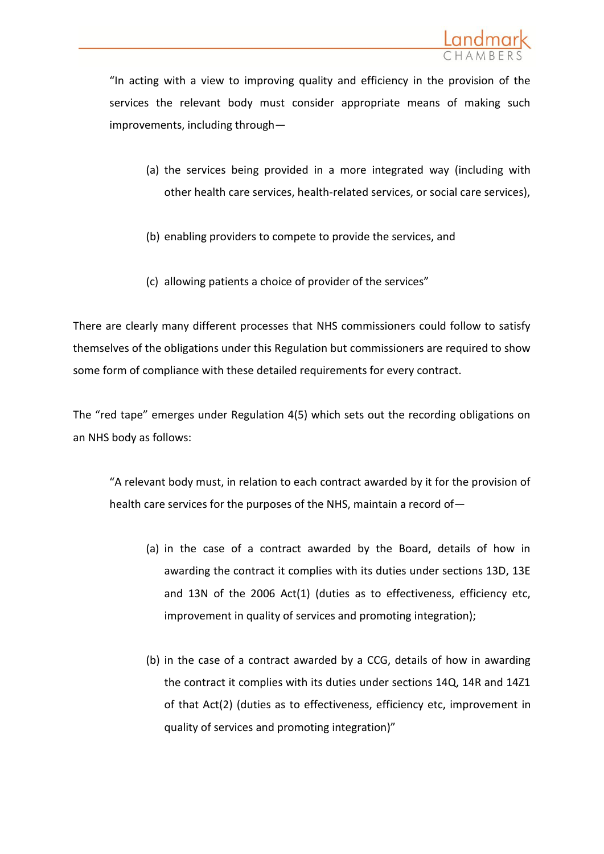

"In acting with a view to improving quality and efficiency in the provision of the services the relevant body must consider appropriate means of making such improvements, including through—

- (a) the services being provided in a more integrated way (including with other health care services, health-related services, or social care services),
- (b) enabling providers to compete to provide the services, and
- (c) allowing patients a choice of provider of the services"

There are clearly many different processes that NHS commissioners could follow to satisfy themselves of the obligations under this Regulation but commissioners are required to show some form of compliance with these detailed requirements for every contract.

The "red tape" emerges under Regulation 4(5) which sets out the recording obligations on an NHS body as follows:

"A relevant body must, in relation to each contract awarded by it for the provision of health care services for the purposes of the NHS, maintain a record of—

- (a) in the case of a contract awarded by the Board, details of how in awarding the contract it complies with its duties under sections 13D, 13E and 13N of the 2006 Act(1) (duties as to effectiveness, efficiency etc, improvement in quality of services and promoting integration);
- (b) in the case of a contract awarded by a CCG, details of how in awarding the contract it complies with its duties under sections 14Q, 14R and 14Z1 of that Act(2) (duties as to effectiveness, efficiency etc, improvement in quality of services and promoting integration)"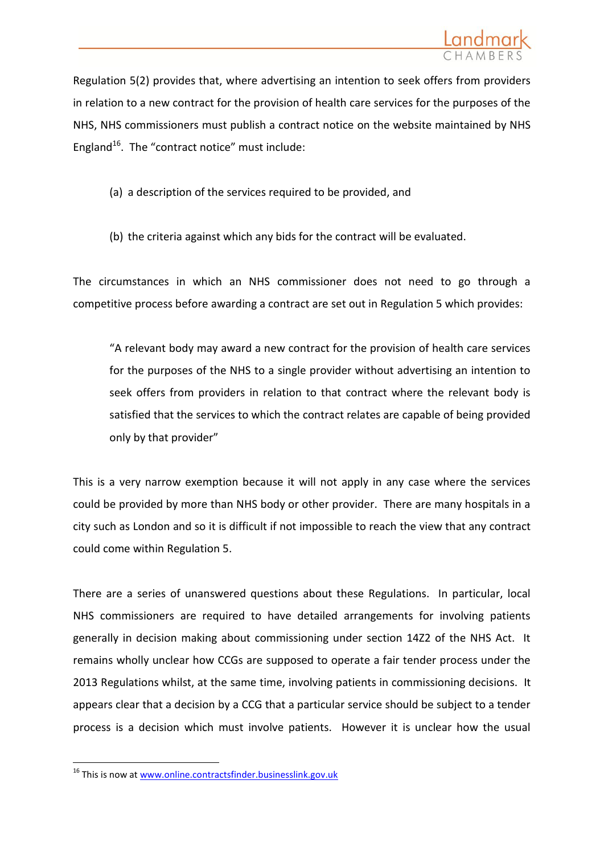

Regulation 5(2) provides that, where advertising an intention to seek offers from providers in relation to a new contract for the provision of health care services for the purposes of the NHS, NHS commissioners must publish a contract notice on the website maintained by NHS England<sup>16</sup>. The "contract notice" must include:

- (a) a description of the services required to be provided, and
- (b) the criteria against which any bids for the contract will be evaluated.

The circumstances in which an NHS commissioner does not need to go through a competitive process before awarding a contract are set out in Regulation 5 which provides:

"A relevant body may award a new contract for the provision of health care services for the purposes of the NHS to a single provider without advertising an intention to seek offers from providers in relation to that contract where the relevant body is satisfied that the services to which the contract relates are capable of being provided only by that provider"

This is a very narrow exemption because it will not apply in any case where the services could be provided by more than NHS body or other provider. There are many hospitals in a city such as London and so it is difficult if not impossible to reach the view that any contract could come within Regulation 5.

There are a series of unanswered questions about these Regulations. In particular, local NHS commissioners are required to have detailed arrangements for involving patients generally in decision making about commissioning under section 14Z2 of the NHS Act. It remains wholly unclear how CCGs are supposed to operate a fair tender process under the 2013 Regulations whilst, at the same time, involving patients in commissioning decisions. It appears clear that a decision by a CCG that a particular service should be subject to a tender process is a decision which must involve patients. However it is unclear how the usual

<sup>1</sup> <sup>16</sup> This is now at [www.online.contractsfinder.businesslink.gov.uk](http://www.online.contractsfinder.businesslink.gov.uk/)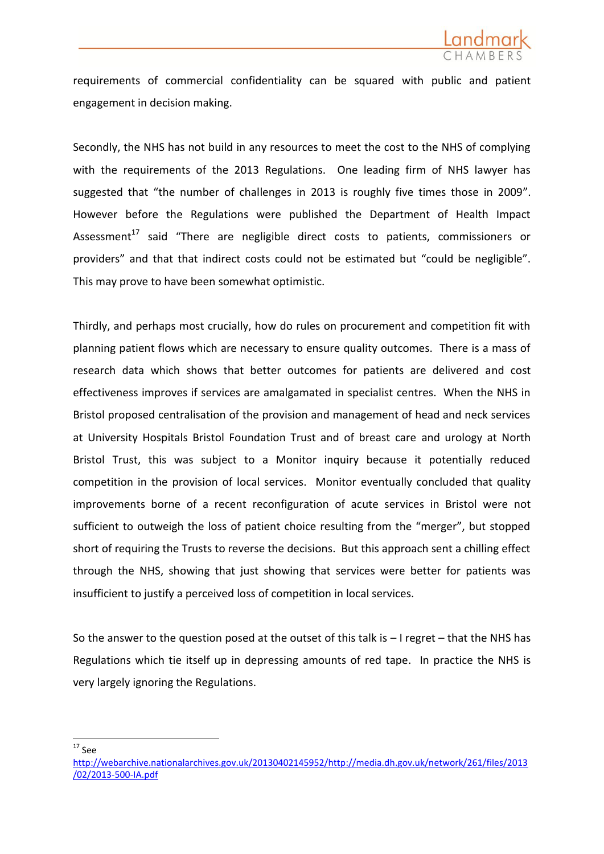

requirements of commercial confidentiality can be squared with public and patient engagement in decision making.

Secondly, the NHS has not build in any resources to meet the cost to the NHS of complying with the requirements of the 2013 Regulations. One leading firm of NHS lawyer has suggested that "the number of challenges in 2013 is roughly five times those in 2009". However before the Regulations were published the Department of Health Impact Assessment $17$  said "There are negligible direct costs to patients, commissioners or providers" and that that indirect costs could not be estimated but "could be negligible". This may prove to have been somewhat optimistic.

Thirdly, and perhaps most crucially, how do rules on procurement and competition fit with planning patient flows which are necessary to ensure quality outcomes. There is a mass of research data which shows that better outcomes for patients are delivered and cost effectiveness improves if services are amalgamated in specialist centres. When the NHS in Bristol proposed centralisation of the provision and management of head and neck services at University Hospitals Bristol Foundation Trust and of breast care and urology at North Bristol Trust, this was subject to a Monitor inquiry because it potentially reduced competition in the provision of local services. Monitor eventually concluded that quality improvements borne of a recent reconfiguration of acute services in Bristol were not sufficient to outweigh the loss of patient choice resulting from the "merger", but stopped short of requiring the Trusts to reverse the decisions. But this approach sent a chilling effect through the NHS, showing that just showing that services were better for patients was insufficient to justify a perceived loss of competition in local services.

So the answer to the question posed at the outset of this talk is – I regret – that the NHS has Regulations which tie itself up in depressing amounts of red tape. In practice the NHS is very largely ignoring the Regulations.

1  $17$  See

[http://webarchive.nationalarchives.gov.uk/20130402145952/http://media.dh.gov.uk/network/261/files/2013](http://webarchive.nationalarchives.gov.uk/20130402145952/http:/media.dh.gov.uk/network/261/files/2013/02/2013-500-IA.pdf) [/02/2013-500-IA.pdf](http://webarchive.nationalarchives.gov.uk/20130402145952/http:/media.dh.gov.uk/network/261/files/2013/02/2013-500-IA.pdf)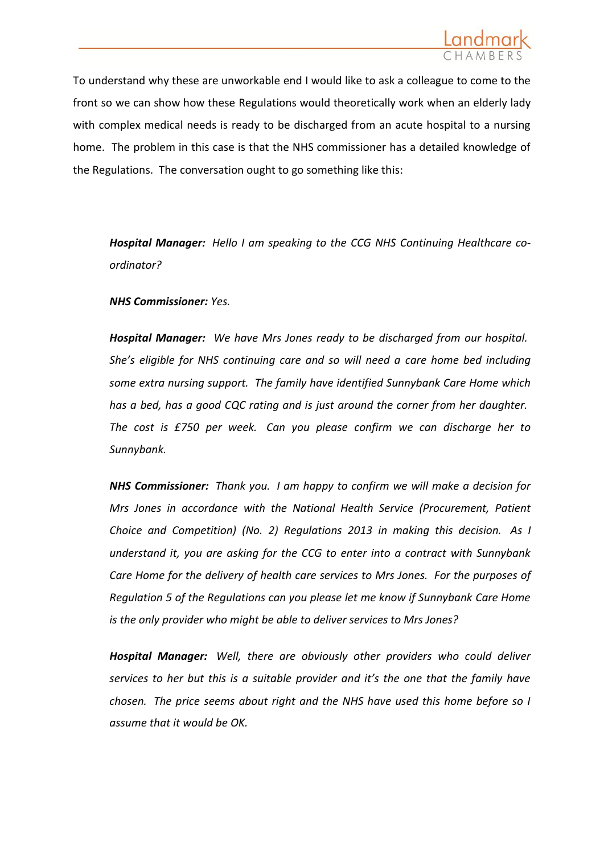

To understand why these are unworkable end I would like to ask a colleague to come to the front so we can show how these Regulations would theoretically work when an elderly lady with complex medical needs is ready to be discharged from an acute hospital to a nursing home. The problem in this case is that the NHS commissioner has a detailed knowledge of the Regulations. The conversation ought to go something like this:

*Hospital Manager: Hello I am speaking to the CCG NHS Continuing Healthcare coordinator?*

*NHS Commissioner: Yes.*

*Hospital Manager: We have Mrs Jones ready to be discharged from our hospital. She's eligible for NHS continuing care and so will need a care home bed including some extra nursing support. The family have identified Sunnybank Care Home which has a bed, has a good CQC rating and is just around the corner from her daughter. The cost is £750 per week. Can you please confirm we can discharge her to Sunnybank.*

*NHS Commissioner: Thank you. I am happy to confirm we will make a decision for Mrs Jones in accordance with the National Health Service (Procurement, Patient Choice and Competition) (No. 2) Regulations 2013 in making this decision. As I understand it, you are asking for the CCG to enter into a contract with Sunnybank Care Home for the delivery of health care services to Mrs Jones. For the purposes of Regulation 5 of the Regulations can you please let me know if Sunnybank Care Home is the only provider who might be able to deliver services to Mrs Jones?*

*Hospital Manager: Well, there are obviously other providers who could deliver services to her but this is a suitable provider and it's the one that the family have chosen. The price seems about right and the NHS have used this home before so I assume that it would be OK.*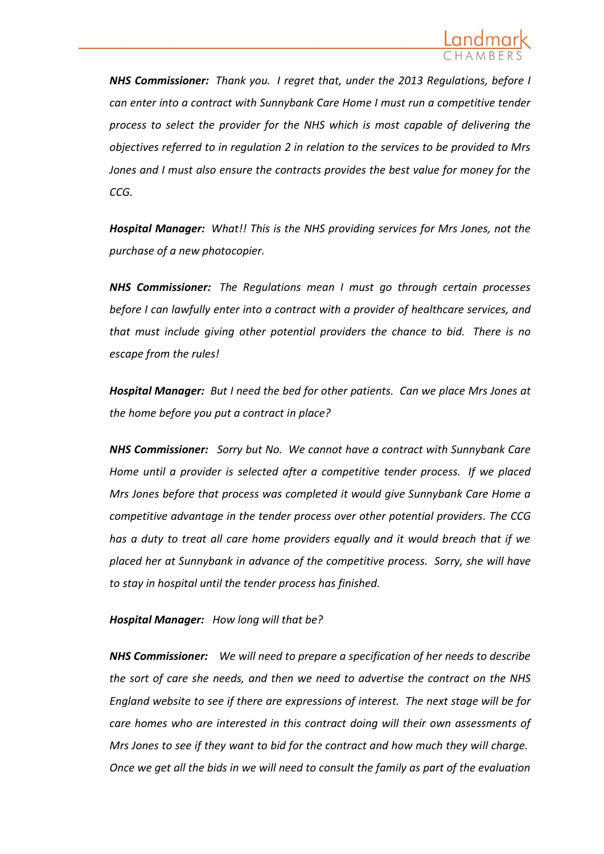

*NHS Commissioner: Thank you. I regret that, under the 2013 Regulations, before I can enter into a contract with Sunnybank Care Home I must run a competitive tender process to select the provider for the NHS which is most capable of delivering the objectives referred to in regulation 2 in relation to the services to be provided to Mrs Jones and I must also ensure the contracts provides the best value for money for the CCG.*

*Hospital Manager: What!! This is the NHS providing services for Mrs Jones, not the purchase of a new photocopier.*

*NHS Commissioner: The Regulations mean I must go through certain processes before I can lawfully enter into a contract with a provider of healthcare services, and that must include giving other potential providers the chance to bid. There is no escape from the rules!*

*Hospital Manager: But I need the bed for other patients. Can we place Mrs Jones at the home before you put a contract in place?*

*NHS Commissioner: Sorry but No. We cannot have a contract with Sunnybank Care Home until a provider is selected after a competitive tender process. If we placed Mrs Jones before that process was completed it would give Sunnybank Care Home a competitive advantage in the tender process over other potential providers. The CCG has a duty to treat all care home providers equally and it would breach that if we placed her at Sunnybank in advance of the competitive process. Sorry, she will have to stay in hospital until the tender process has finished.*

## *Hospital Manager: How long will that be?*

*NHS Commissioner: We will need to prepare a specification of her needs to describe the sort of care she needs, and then we need to advertise the contract on the NHS England website to see if there are expressions of interest. The next stage will be for care homes who are interested in this contract doing will their own assessments of Mrs Jones to see if they want to bid for the contract and how much they will charge. Once we get all the bids in we will need to consult the family as part of the evaluation*